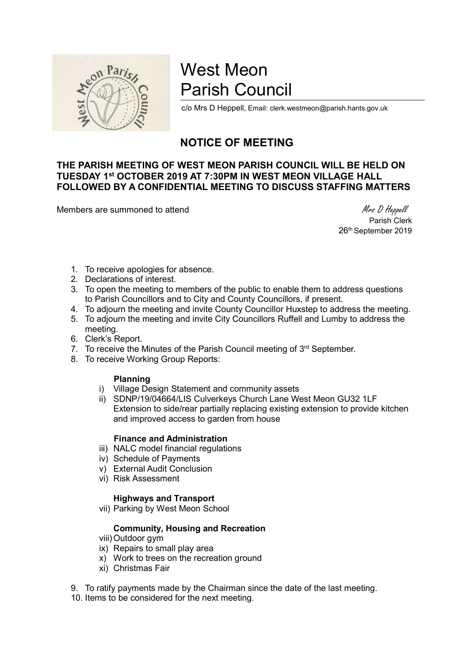

# West Meon Parish Council

c/o Mrs D Heppell, Email: clerk.westmeon@parish.hants.gov.uk

## NOTICE OF MEETING

### THE PARISH MEETING OF WEST MEON PARISH COUNCIL WILL BE HELD ON TUESDAY 1st OCTOBER 2019 AT 7:30PM IN WEST MEON VILLAGE HALL FOLLOWED BY A CONFIDENTIAL MEETING TO DISCUSS STAFFING MATTERS

Members are summoned to attend Members are summoned to attend Members are summoned to attend Members of Members  $M$ rs D Heppell

 Parish Clerk 26<sup>th</sup> September 2019

- 1. To receive apologies for absence.
- 2. Declarations of interest.
- 3. To open the meeting to members of the public to enable them to address questions to Parish Councillors and to City and County Councillors, if present.
- 4. To adjourn the meeting and invite County Councillor Huxstep to address the meeting.
- 5. To adjourn the meeting and invite City Councillors Ruffell and Lumby to address the meeting.
- 6. Clerk's Report.
- 7. To receive the Minutes of the Parish Council meeting of 3<sup>rd</sup> September.
- 8. To receive Working Group Reports:

#### Planning

- i) Village Design Statement and community assets
- ii) SDNP/19/04664/LIS Culverkeys Church Lane West Meon GU32 1LF Extension to side/rear partially replacing existing extension to provide kitchen and improved access to garden from house

#### Finance and Administration

- iii) NALC model financial regulations
- iv) Schedule of Payments
- v) External Audit Conclusion
- vi) Risk Assessment

#### Highways and Transport

vii) Parking by West Meon School

#### Community, Housing and Recreation

- viii) Outdoor gym
- ix) Repairs to small play area
- x) Work to trees on the recreation ground
- xi) Christmas Fair
- 9. To ratify payments made by the Chairman since the date of the last meeting.

10. Items to be considered for the next meeting.